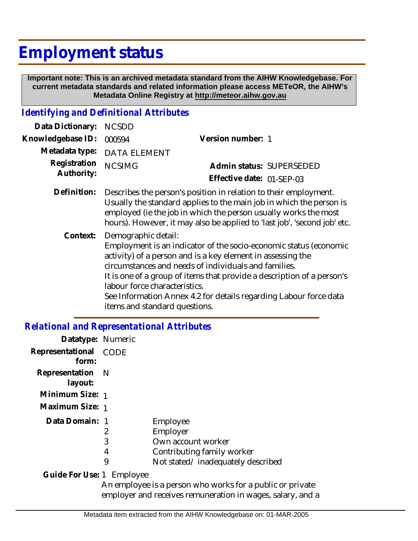# **Employment status**

 **Important note: This is an archived metadata standard from the AIHW Knowledgebase. For current metadata standards and related information please access METeOR, the AIHW's Metadata Online Registry at http://meteor.aihw.gov.au**

#### *Identifying and Definitional Attributes*

| Data Dictionary:           | <b>NCSDD</b>                                                                                                                                                                                                                                                                                                                                                                                                                     |                                                                                                                                                                                                                                                                                        |
|----------------------------|----------------------------------------------------------------------------------------------------------------------------------------------------------------------------------------------------------------------------------------------------------------------------------------------------------------------------------------------------------------------------------------------------------------------------------|----------------------------------------------------------------------------------------------------------------------------------------------------------------------------------------------------------------------------------------------------------------------------------------|
| Knowledgebase ID:          | 000594                                                                                                                                                                                                                                                                                                                                                                                                                           | Version number: 1                                                                                                                                                                                                                                                                      |
| Metadata type:             | <b>DATA ELEMENT</b>                                                                                                                                                                                                                                                                                                                                                                                                              |                                                                                                                                                                                                                                                                                        |
| Registration<br>Authority: | <b>NCSIMG</b>                                                                                                                                                                                                                                                                                                                                                                                                                    | Admin status: SUPERSEDED                                                                                                                                                                                                                                                               |
|                            |                                                                                                                                                                                                                                                                                                                                                                                                                                  | Effective date: 01-SEP-03                                                                                                                                                                                                                                                              |
| Definition:                |                                                                                                                                                                                                                                                                                                                                                                                                                                  | Describes the person's position in relation to their employment.<br>Usually the standard applies to the main job in which the person is<br>employed (ie the job in which the person usually works the most<br>hours). However, it may also be applied to 'last job', 'second job' etc. |
| Context:                   | Demographic detail:<br>Employment is an indicator of the socio-economic status (economic<br>activity) of a person and is a key element in assessing the<br>circumstances and needs of individuals and families.<br>It is one of a group of items that provide a description of a person's<br>labour force characteristics.<br>See Information Annex 4.2 for details regarding Labour force data<br>items and standard questions. |                                                                                                                                                                                                                                                                                        |

#### *Relational and Representational Attributes*

| Datatype: Numeric           |             |                                   |
|-----------------------------|-------------|-----------------------------------|
| Representational<br>form:   | <b>CODE</b> |                                   |
| Representation N<br>layout: |             |                                   |
| Minimum Size: 1             |             |                                   |
| Maximum Size: 1             |             |                                   |
| Data Domain: 1              |             | Employee                          |
|                             | 2           | Employer                          |
|                             | 3           | Own account worker                |
|                             | 4           | Contributing family worker        |
|                             | 9           | Not stated/inadequately described |
| Guide For Use: 1 Employee   |             |                                   |

An employee is a person who works for a public or private employer and receives remuneration in wages, salary, and a